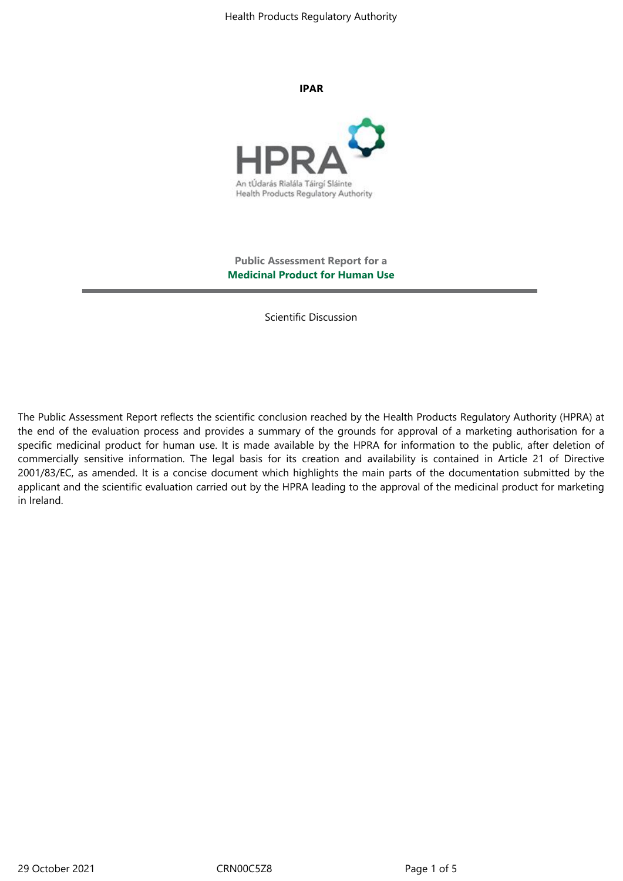Health Products Regulatory Authority

**IPAR**



**Public Assessment Report for a Medicinal Product for Human Use**

Scientific Discussion

The Public Assessment Report reflects the scientific conclusion reached by the Health Products Regulatory Authority (HPRA) at the end of the evaluation process and provides a summary of the grounds for approval of a marketing authorisation for a specific medicinal product for human use. It is made available by the HPRA for information to the public, after deletion of commercially sensitive information. The legal basis for its creation and availability is contained in Article 21 of Directive 2001/83/EC, as amended. It is a concise document which highlights the main parts of the documentation submitted by the applicant and the scientific evaluation carried out by the HPRA leading to the approval of the medicinal product for marketing in Ireland.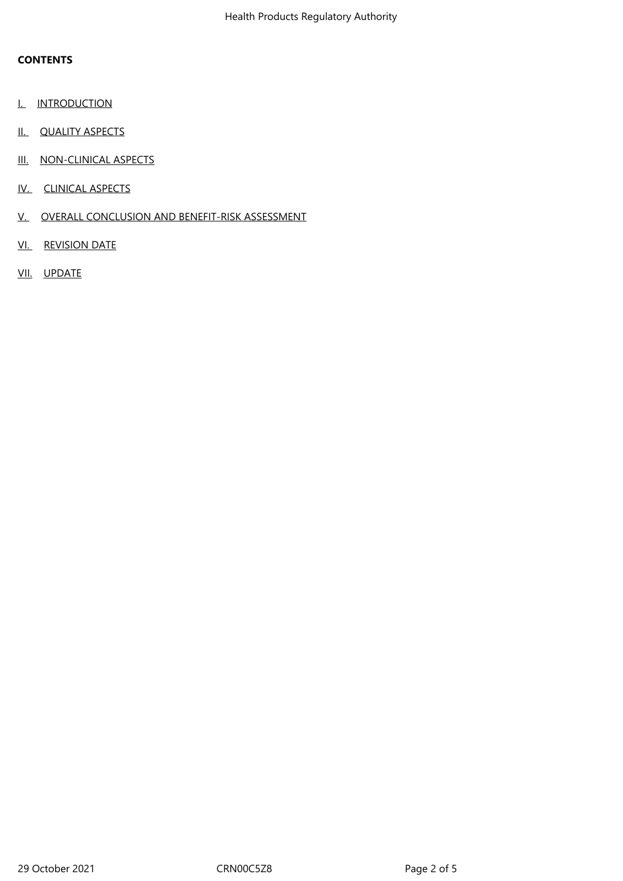## **CONTENTS**

- I. INTRODUCTION
- II. QUALITY ASPECTS
- III. NON-CLINICAL ASPECTS
- IV. CLINICAL ASPECTS
- V. OVERALL CONCLUSION AND BENEFIT-RISK ASSESSMENT
- VI. REVISION DATE
- VII. UPDATE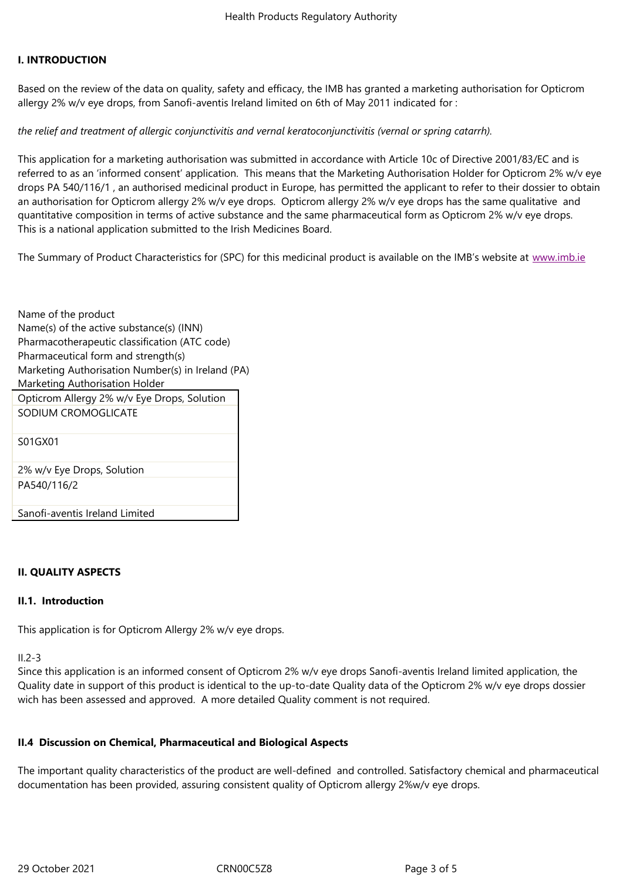#### **I. INTRODUCTION**

Based on the review of the data on quality, safety and efficacy, the IMB has granted a marketing authorisation for Opticrom allergy 2% w/v eye drops, from Sanofi-aventis Ireland limited on 6th of May 2011 indicated for :

*the relief and treatment of allergic conjunctivitis and vernal keratoconjunctivitis (vernal or spring catarrh).*

This application for a marketing authorisation was submitted in accordance with Article 10c of Directive 2001/83/EC and is referred to as an 'informed consent' application. This means that the Marketing Authorisation Holder for Opticrom 2% w/v eye drops PA 540/116/1 , an authorised medicinal product in Europe, has permitted the applicant to refer to their dossier to obtain an authorisation for Opticrom allergy 2% w/v eye drops. Opticrom allergy 2% w/v eye drops has the same qualitative and quantitative composition in terms of active substance and the same pharmaceutical form as Opticrom 2% w/v eye drops. This is a national application submitted to the Irish Medicines Board.

The Summary of Product Characteristics for (SPC) for this medicinal product is available on the IMB's website at www.imb.ie

| Name of the product                               |
|---------------------------------------------------|
| Name(s) of the active substance(s) (INN)          |
| Pharmacotherapeutic classification (ATC code)     |
| Pharmaceutical form and strength(s)               |
| Marketing Authorisation Number(s) in Ireland (PA) |
| Marketing Authorisation Holder                    |
| Opticrom Allergy 2% w/v Eye Drops, Solution       |
| SODIUM CROMOGLICATE                               |
| S01GX01                                           |
| 2% w/v Eye Drops, Solution                        |
| PA540/116/2                                       |
| Sanofi-aventis Ireland Limited                    |

# **II. QUALITY ASPECTS**

#### **II.1. Introduction**

This application is for Opticrom Allergy 2% w/v eye drops.

 $II.2-3$ 

Since this application is an informed consent of Opticrom 2% w/v eye drops Sanofi-aventis Ireland limited application, the Quality date in support of this product is identical to the up-to-date Quality data of the Opticrom 2% w/v eye drops dossier wich has been assessed and approved. A more detailed Quality comment is not required.

# **II.4 Discussion on Chemical, Pharmaceutical and Biological Aspects**

The important quality characteristics of the product are well-defined and controlled. Satisfactory chemical and pharmaceutical documentation has been provided, assuring consistent quality of Opticrom allergy 2%w/v eye drops.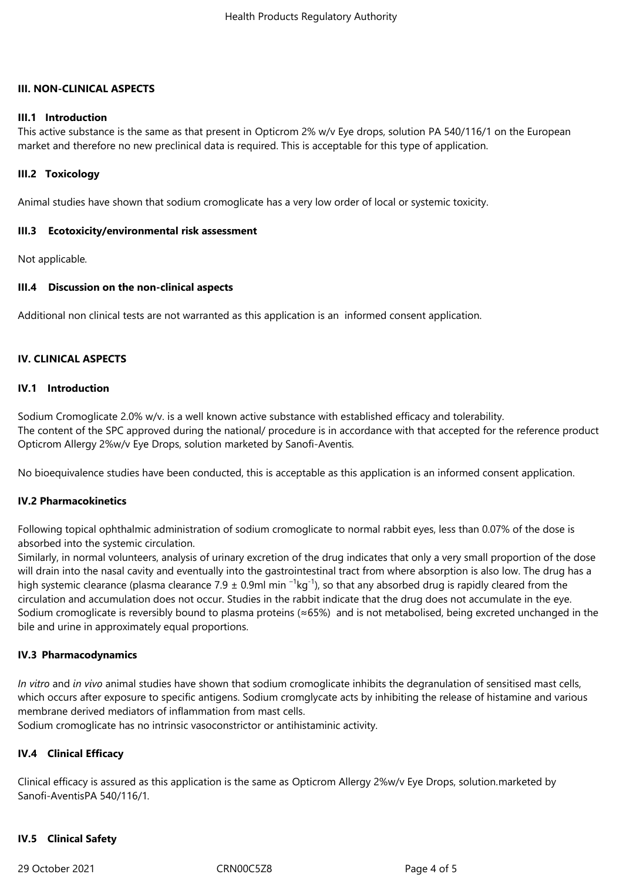## **III. NON-CLINICAL ASPECTS**

#### **III.1 Introduction**

This active substance is the same as that present in Opticrom 2% w/v Eye drops, solution PA 540/116/1 on the European market and therefore no new preclinical data is required. This is acceptable for this type of application.

## **III.2 Toxicology**

Animal studies have shown that sodium cromoglicate has a very low order of local or systemic toxicity.

## **III.3 Ecotoxicity/environmental risk assessment**

Not applicable*.* 

## **III.4 Discussion on the non-clinical aspects**

Additional non clinical tests are not warranted as this application is an informed consent application.

## **IV. CLINICAL ASPECTS**

## **IV.1 Introduction**

Sodium Cromoglicate 2.0% w/v. is a well known active substance with established efficacy and tolerability. The content of the SPC approved during the national/ procedure is in accordance with that accepted for the reference product Opticrom Allergy 2%w/v Eye Drops, solution marketed by Sanofi-Aventis*.* 

No bioequivalence studies have been conducted, this is acceptable as this application is an informed consent application.

# **IV.2 Pharmacokinetics**

Following topical ophthalmic administration of sodium cromoglicate to normal rabbit eyes, less than 0.07% of the dose is absorbed into the systemic circulation.

Similarly, in normal volunteers, analysis of urinary excretion of the drug indicates that only a very small proportion of the dose will drain into the nasal cavity and eventually into the gastrointestinal tract from where absorption is also low. The drug has a high systemic clearance (plasma clearance 7.9  $\pm$  0.9ml min  $^{-1}$ kg<sup>-1</sup>), so that any absorbed drug is rapidly cleared from the circulation and accumulation does not occur. Studies in the rabbit indicate that the drug does not accumulate in the eye. Sodium cromoglicate is reversibly bound to plasma proteins (≈65%) and is not metabolised, being excreted unchanged in the bile and urine in approximately equal proportions.

# **IV.3 Pharmacodynamics**

*In vitro* and *in vivo* animal studies have shown that sodium cromoglicate inhibits the degranulation of sensitised mast cells, which occurs after exposure to specific antigens. Sodium cromglycate acts by inhibiting the release of histamine and various membrane derived mediators of inflammation from mast cells.

Sodium cromoglicate has no intrinsic vasoconstrictor or antihistaminic activity.

# **IV.4 Clinical Efficacy**

Clinical efficacy is assured as this application is the same as Opticrom Allergy 2%w/v Eye Drops, solution.marketed by Sanofi-AventisPA 540/116/1*.*

#### **IV.5 Clinical Safety**

29 October 2021 CRN00C5Z8 Page 4 of 5